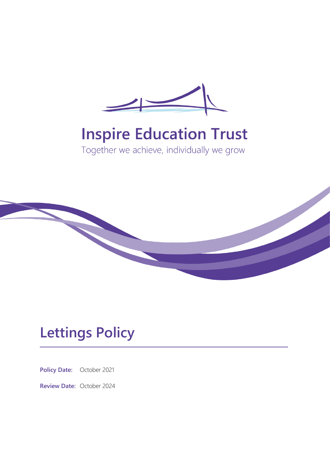

# **Inspire Education Trust**

Together we achieve, individually we grow



## **Lettings Policy**

**Policy Date:** October 2021

**Review Date:** October 2024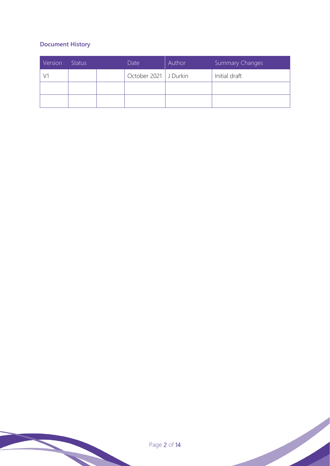## **Document History**

| Version | <b>Status</b> | Date                    | Author | <b>Summary Changes</b> |
|---------|---------------|-------------------------|--------|------------------------|
|         |               | October 2021   J Durkin |        | Initial draft          |
|         |               |                         |        |                        |
|         |               |                         |        |                        |

Page 2 of 14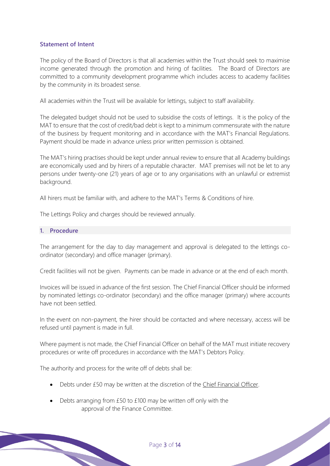## **Statement of Intent**

The policy of the Board of Directors is that all academies within the Trust should seek to maximise income generated through the promotion and hiring of facilities. The Board of Directors are committed to a community development programme which includes access to academy facilities by the community in its broadest sense.

All academies within the Trust will be available for lettings, subject to staff availability.

The delegated budget should not be used to subsidise the costs of lettings. It is the policy of the MAT to ensure that the cost of credit/bad debt is kept to a minimum commensurate with the nature of the business by frequent monitoring and in accordance with the MAT's Financial Regulations. Payment should be made in advance unless prior written permission is obtained.

The MAT's hiring practises should be kept under annual review to ensure that all Academy buildings are economically used and by hirers of a reputable character. MAT premises will not be let to any persons under twenty-one (21) years of age or to any organisations with an unlawful or extremist background.

All hirers must be familiar with, and adhere to the MAT's Terms & Conditions of hire.

The Lettings Policy and charges should be reviewed annually.

#### **1. Procedure**

The arrangement for the day to day management and approval is delegated to the lettings coordinator (secondary) and office manager (primary).

Credit facilities will not be given. Payments can be made in advance or at the end of each month.

Invoices will be issued in advance of the first session. The Chief Financial Officer should be informed by nominated lettings co-ordinator (secondary) and the office manager (primary) where accounts have not been settled.

In the event on non-payment, the hirer should be contacted and where necessary, access will be refused until payment is made in full.

Where payment is not made, the Chief Financial Officer on behalf of the MAT must initiate recovery procedures or write off procedures in accordance with the MAT's Debtors Policy.

The authority and process for the write off of debts shall be:

- Debts under £50 may be written at the discretion of the Chief Financial Officer.
- Debts arranging from £50 to £100 may be written off only with the approval of the Finance Committee.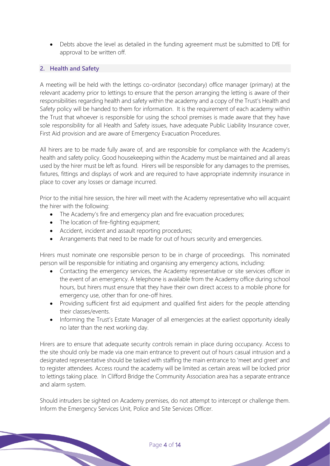• Debts above the level as detailed in the funding agreement must be submitted to DfE for approval to be written off.

## **2. Health and Safety**

A meeting will be held with the lettings co-ordinator (secondary) office manager (primary) at the relevant academy prior to lettings to ensure that the person arranging the letting is aware of their responsibilities regarding health and safety within the academy and a copy of the Trust's Health and Safety policy will be handed to them for information. It is the requirement of each academy within the Trust that whoever is responsible for using the school premises is made aware that they have sole responsibility for all Health and Safety issues, have adequate Public Liability Insurance cover, First Aid provision and are aware of Emergency Evacuation Procedures.

All hirers are to be made fully aware of, and are responsible for compliance with the Academy's health and safety policy. Good housekeeping within the Academy must be maintained and all areas used by the hirer must be left as found. Hirers will be responsible for any damages to the premises, fixtures, fittings and displays of work and are required to have appropriate indemnity insurance in place to cover any losses or damage incurred.

Prior to the initial hire session, the hirer will meet with the Academy representative who will acquaint the hirer with the following:

- The Academy's fire and emergency plan and fire evacuation procedures;
- The location of fire-fighting equipment;
- Accident, incident and assault reporting procedures;
- Arrangements that need to be made for out of hours security and emergencies.

Hirers must nominate one responsible person to be in charge of proceedings. This nominated person will be responsible for initiating and organising any emergency actions, including:

- Contacting the emergency services, the Academy representative or site services officer in the event of an emergency. A telephone is available from the Academy office during school hours, but hirers must ensure that they have their own direct access to a mobile phone for emergency use, other than for one-off hires.
- Providing sufficient first aid equipment and qualified first aiders for the people attending their classes/events.
- Informing the Trust's Estate Manager of all emergencies at the earliest opportunity ideally no later than the next working day.

Hirers are to ensure that adequate security controls remain in place during occupancy. Access to the site should only be made via one main entrance to prevent out of hours casual intrusion and a designated representative should be tasked with staffing the main entrance to 'meet and greet' and to register attendees. Access round the academy will be limited as certain areas will be locked prior to lettings taking place. In Clifford Bridge the Community Association area has a separate entrance and alarm system.

Should intruders be sighted on Academy premises, do not attempt to intercept or challenge them. Inform the Emergency Services Unit, Police and Site Services Officer.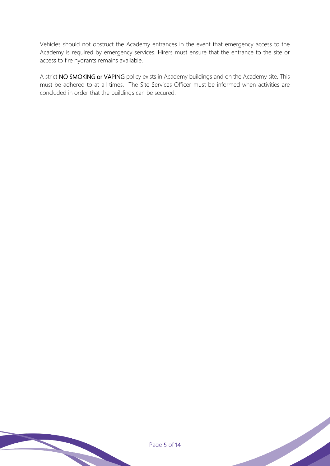Vehicles should not obstruct the Academy entrances in the event that emergency access to the Academy is required by emergency services. Hirers must ensure that the entrance to the site or access to fire hydrants remains available.

A strict NO SMOKING or VAPING policy exists in Academy buildings and on the Academy site. This must be adhered to at all times. The Site Services Officer must be informed when activities are concluded in order that the buildings can be secured.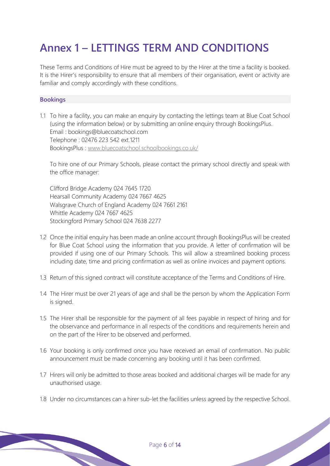## **Annex 1 – LETTINGS TERM AND CONDITIONS**

These Terms and Conditions of Hire must be agreed to by the Hirer at the time a facility is booked. It is the Hirer's responsibility to ensure that all members of their organisation, event or activity are familiar and comply accordingly with these conditions.

## **Bookings**

1.1 To hire a facility, you can make an enquiry by contacting the lettings team at Blue Coat School (using the information below) or by submitting an online enquiry through BookingsPlus. Email : bookings@bluecoatschool.com Telephone : 02476 223 542 ext.1211 BookingsPlus : www.bluecoatschool.schoolbookings.co.uk/

To hire one of our Primary Schools, please contact the primary school directly and speak with the office manager:

Clifford Bridge Academy 024 7645 1720 Hearsall Community Academy 024 7667 4625 Walsgrave Church of England Academy 024 7661 2161 Whittle Academy 024 7667 4625 Stockingford Primary School 024 7638 2277

- 1.2 Once the initial enquiry has been made an online account through BookingsPlus will be created for Blue Coat School using the information that you provide. A letter of confirmation will be provided if using one of our Primary Schools. This will allow a streamlined booking process including date, time and pricing confirmation as well as online invoices and payment options.
- 1.3 Return of this signed contract will constitute acceptance of the Terms and Conditions of Hire.
- 1.4 The Hirer must be over 21 years of age and shall be the person by whom the Application Form is signed.
- 1.5 The Hirer shall be responsible for the payment of all fees payable in respect of hiring and for the observance and performance in all respects of the conditions and requirements herein and on the part of the Hirer to be observed and performed.
- 1.6 Your booking is only confirmed once you have received an email of confirmation. No public announcement must be made concerning any booking until it has been confirmed.
- 1.7 Hirers will only be admitted to those areas booked and additional charges will be made for any unauthorised usage.
- 1.8 Under no circumstances can a hirer sub-let the facilities unless agreed by the respective School.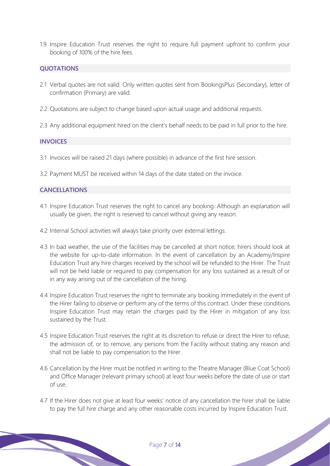1.9 Inspire Education Trust reserves the right to require full payment upfront to confirm your booking of 100% of the hire fees.

## **QUOTATIONS**

- 2.1 Verbal quotes are not valid. Only written quotes sent from BookingsPlus (Secondary), letter of confirmation (Primary) are valid.
- 2.2 Quotations are subject to change based upon actual usage and additional requests.
- 2.3 Any additional equipment hired on the client's behalf needs to be paid in full prior to the hire.

## **INVOICES**

- 3.1 Invoices will be raised 21 days (where possible) in advance of the first hire session.
- 3.2 Payment MUST be received within 14 days of the date stated on the invoice.

## **CANCELLATIONS**

- 4.1 Inspire Education Trust reserves the right to cancel any booking. Although an explanation will usually be given, the right is reserved to cancel without giving any reason.
- 4.2 Internal School activities will always take priority over external lettings.
- 4.3 In bad weather, the use of the facilities may be cancelled at short notice; hirers should look at the website for up-to-date information. In the event of cancellation by an Academy/Inspire Education Trust any hire charges received by the school will be refunded to the Hirer. The Trust will not be held liable or required to pay compensation for any loss sustained as a result of or in any way arising out of the cancellation of the hiring.
- 4.4 Inspire Education Trust reserves the right to terminate any booking immediately in the event of the Hirer failing to observe or perform any of the terms of this contract. Under these conditions Inspire Education Trust may retain the charges paid by the Hirer in mitigation of any loss sustained by the Trust.
- 4.5 Inspire Education Trust reserves the right at its discretion to refuse or direct the Hirer to refuse, the admission of, or to remove, any persons from the Facility without stating any reason and shall not be liable to pay compensation to the Hirer.
- 4.6 Cancellation by the Hirer must be notified in writing to the Theatre Manager (Blue Coat School) and Office Manager (relevant primary school) at least four weeks before the date of use or start of use.
- 4.7 If the Hirer does not give at least four weeks' notice of any cancellation the hirer shall be liable to pay the full hire charge and any other reasonable costs incurred by Inspire Education Trust.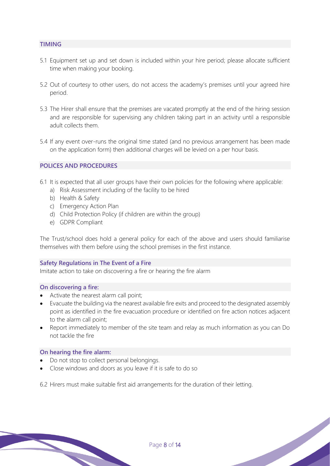## **TIMING**

- 5.1 Equipment set up and set down is included within your hire period; please allocate sufficient time when making your booking.
- 5.2 Out of courtesy to other users, do not access the academy's premises until your agreed hire period.
- 5.3 The Hirer shall ensure that the premises are vacated promptly at the end of the hiring session and are responsible for supervising any children taking part in an activity until a responsible adult collects them.
- 5.4 If any event over-runs the original time stated (and no previous arrangement has been made on the application form) then additional charges will be levied on a per hour basis.

## **POLICES AND PROCEDURES**

- 6.1 It is expected that all user groups have their own policies for the following where applicable:
	- a) Risk Assessment including of the facility to be hired
	- b) Health & Safety
	- c) Emergency Action Plan
	- d) Child Protection Policy (if children are within the group)
	- e) GDPR Compliant

The Trust/school does hold a general policy for each of the above and users should familiarise themselves with them before using the school premises in the first instance.

## **Safety Regulations in The Event of a Fire**

Imitate action to take on discovering a fire or hearing the fire alarm

## **On discovering a fire:**

- Activate the nearest alarm call point;
- Evacuate the building via the nearest available fire exits and proceed to the designated assembly point as identified in the fire evacuation procedure or identified on fire action notices adjacent to the alarm call point;
- Report immediately to member of the site team and relay as much information as you can Do not tackle the fire

## **On hearing the fire alarm:**

- Do not stop to collect personal belongings.
- Close windows and doors as you leave if it is safe to do so

6.2 Hirers must make suitable first aid arrangements for the duration of their letting.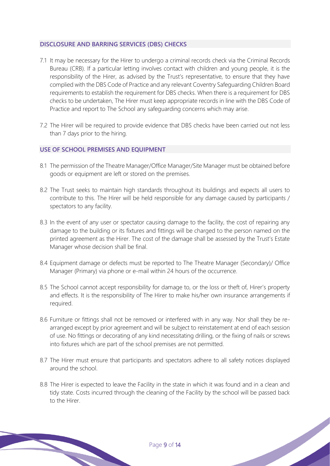## **DISCLOSURE AND BARRING SERVICES (DBS) CHECKS**

- 7.1 It may be necessary for the Hirer to undergo a criminal records check via the Criminal Records Bureau (CRB). If a particular letting involves contact with children and young people, it is the responsibility of the Hirer, as advised by the Trust's representative, to ensure that they have complied with the DBS Code of Practice and any relevant Coventry Safeguarding Children Board requirements to establish the requirement for DBS checks. When there is a requirement for DBS checks to be undertaken, The Hirer must keep appropriate records in line with the DBS Code of Practice and report to The School any safeguarding concerns which may arise.
- 7.2 The Hirer will be required to provide evidence that DBS checks have been carried out not less than 7 days prior to the hiring.

## **USE OF SCHOOL PREMISES AND EQUIPMENT**

- 8.1 The permission of the Theatre Manager/Office Manager/Site Manager must be obtained before goods or equipment are left or stored on the premises.
- 8.2 The Trust seeks to maintain high standards throughout its buildings and expects all users to contribute to this. The Hirer will be held responsible for any damage caused by participants / spectators to any facility.
- 8.3 In the event of any user or spectator causing damage to the facility, the cost of repairing any damage to the building or its fixtures and fittings will be charged to the person named on the printed agreement as the Hirer. The cost of the damage shall be assessed by the Trust's Estate Manager whose decision shall be final.
- 8.4 Equipment damage or defects must be reported to The Theatre Manager (Secondary)/ Office Manager (Primary) via phone or e-mail within 24 hours of the occurrence.
- 8.5 The School cannot accept responsibility for damage to, or the loss or theft of, Hirer's property and effects. It is the responsibility of The Hirer to make his/her own insurance arrangements if required.
- 8.6 Furniture or fittings shall not be removed or interfered with in any way. Nor shall they be rearranged except by prior agreement and will be subject to reinstatement at end of each session of use. No fittings or decorating of any kind necessitating drilling, or the fixing of nails or screws into fixtures which are part of the school premises are not permitted.
- 8.7 The Hirer must ensure that participants and spectators adhere to all safety notices displayed around the school.
- 8.8 The Hirer is expected to leave the Facility in the state in which it was found and in a clean and tidy state. Costs incurred through the cleaning of the Facility by the school will be passed back to the Hirer.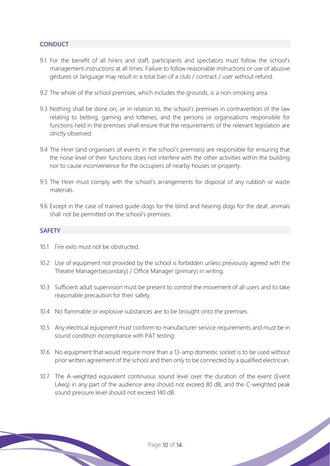## **CONDUCT**

- 9.1 For the benefit of all hirers and staff, participants and spectators must follow the school's management instructions at all times. Failure to follow reasonable instructions or use of abusive gestures or language may result in a total ban of a club / contract / user without refund.
- 9.2 The whole of the school premises, which includes the grounds, is a non-smoking area.
- 9.3 Nothing shall be done on, or in relation to, the school's premises in contravention of the law relating to betting, gaming and lotteries, and the persons or organisations responsible for functions held in the premises shall ensure that the requirements of the relevant legislation are strictly observed.
- 9.4 The Hirer (and organisers of events in the school's premises) are responsible for ensuring that the noise level of their functions does not interfere with the other activities within the building nor to cause inconvenience for the occupiers of nearby houses or property.
- 9.5 The Hirer must comply with the school's arrangements for disposal of any rubbish or waste materials.
- 9.6 Except in the case of trained guide-dogs for the blind and hearing dogs for the deaf, animals shall not be permitted on the school's premises.

## **SAFETY**

- 10.1 Fire exits must not be obstructed.
- 10.2 Use of equipment not provided by the school is forbidden unless previously agreed with the Theatre Manager(secondary) / Office Manager (primary) in writing.
- 10.3 Sufficient adult supervision must be present to control the movement of all users and to take reasonable precaution for their safety.
- 10.4 No flammable or explosive substances are to be brought onto the premises.
- 10.5 Any electrical equipment must conform to manufacturer service requirements and must be in sound condition incompliance with PAT testing.
- 10.6 No equipment that would require more than a 13-amp domestic socket is to be used without prior written agreement of the school and then only to be connected by a qualified electrician.
- 10.7 The A-weighted equivalent continuous sound level over the duration of the event (Event LAeq) in any part of the audience area should not exceed 80 dB, and the C-weighted peak sound pressure level should not exceed 140 dB.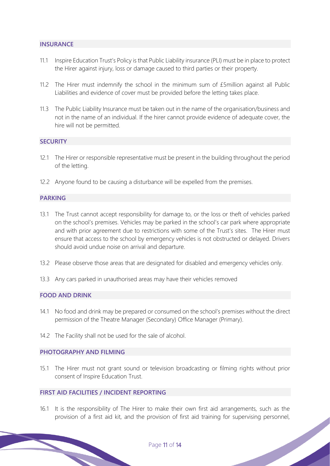## **INSURANCE**

- 11.1 Inspire Education Trust's Policy is that Public Liability insurance (PLI) must be in place to protect the Hirer against injury, loss or damage caused to third parties or their property.
- 11.2 The Hirer must indemnify the school in the minimum sum of £5million against all Public Liabilities and evidence of cover must be provided before the letting takes place.
- 11.3 The Public Liability Insurance must be taken out in the name of the organisation/business and not in the name of an individual. If the hirer cannot provide evidence of adequate cover, the hire will not be permitted.

## **SECURITY**

- 12.1 The Hirer or responsible representative must be present in the building throughout the period of the letting.
- 12.2 Anyone found to be causing a disturbance will be expelled from the premises.

## **PARKING**

- 13.1 The Trust cannot accept responsibility for damage to, or the loss or theft of vehicles parked on the school's premises. Vehicles may be parked in the school's car park where appropriate and with prior agreement due to restrictions with some of the Trust's sites. The Hirer must ensure that access to the school by emergency vehicles is not obstructed or delayed. Drivers should avoid undue noise on arrival and departure.
- 13.2 Please observe those areas that are designated for disabled and emergency vehicles only.
- 13.3 Any cars parked in unauthorised areas may have their vehicles removed

## **FOOD AND DRINK**

- 14.1 No food and drink may be prepared or consumed on the school's premises without the direct permission of the Theatre Manager (Secondary) Office Manager (Primary).
- 14.2 The Facility shall not be used for the sale of alcohol.

#### **PHOTOGRAPHY AND FILMING**

15.1 The Hirer must not grant sound or television broadcasting or filming rights without prior consent of Inspire Education Trust.

## **FIRST AID FACILITIES / INCIDENT REPORTING**

16.1 It is the responsibility of The Hirer to make their own first aid arrangements, such as the provision of a first aid kit, and the provision of first aid training for supervising personnel,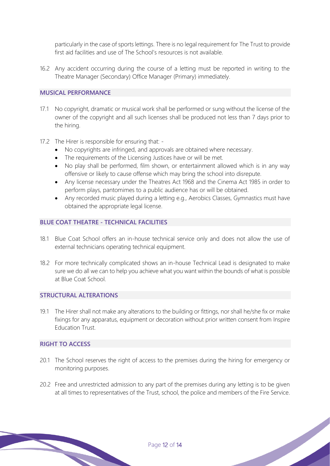particularly in the case of sports lettings. There is no legal requirement for The Trust to provide first aid facilities and use of The School's resources is not available.

16.2 Any accident occurring during the course of a letting must be reported in writing to the Theatre Manager (Secondary) Office Manager (Primary) immediately.

## **MUSICAL PERFORMANCE**

- 17.1 No copyright, dramatic or musical work shall be performed or sung without the license of the owner of the copyright and all such licenses shall be produced not less than 7 days prior to the hiring.
- 17.2 The Hirer is responsible for ensuring that:
	- No copyrights are infringed, and approvals are obtained where necessary.
	- The requirements of the Licensing Justices have or will be met.
	- No play shall be performed, film shown, or entertainment allowed which is in any way offensive or likely to cause offense which may bring the school into disrepute.
	- Any license necessary under the Theatres Act 1968 and the Cinema Act 1985 in order to perform plays, pantomimes to a public audience has or will be obtained.
	- Any recorded music played during a letting e.g., Aerobics Classes, Gymnastics must have obtained the appropriate legal license.

## **BLUE COAT THEATRE - TECHNICAL FACILITIES**

- 18.1 Blue Coat School offers an in-house technical service only and does not allow the use of external technicians operating technical equipment.
- 18.2 For more technically complicated shows an in-house Technical Lead is designated to make sure we do all we can to help you achieve what you want within the bounds of what is possible at Blue Coat School.

## **STRUCTURAL ALTERATIONS**

19.1 The Hirer shall not make any alterations to the building or fittings, nor shall he/she fix or make fixings for any apparatus, equipment or decoration without prior written consent from Inspire Education Trust.

#### **RIGHT TO ACCESS**

- 20.1 The School reserves the right of access to the premises during the hiring for emergency or monitoring purposes.
- 20.2 Free and unrestricted admission to any part of the premises during any letting is to be given at all times to representatives of the Trust, school, the police and members of the Fire Service.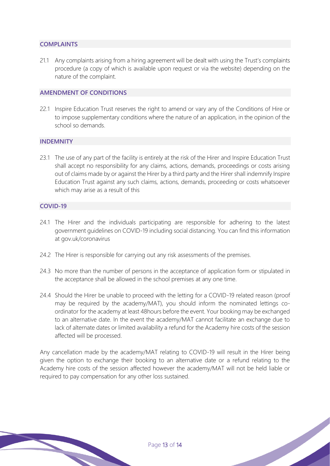## **COMPLAINTS**

21.1 Any complaints arising from a hiring agreement will be dealt with using the Trust's complaints procedure (a copy of which is available upon request or via the website) depending on the nature of the complaint.

## **AMENDMENT OF CONDITIONS**

22.1 Inspire Education Trust reserves the right to amend or vary any of the Conditions of Hire or to impose supplementary conditions where the nature of an application, in the opinion of the school so demands.

#### **INDEMNITY**

23.1 The use of any part of the facility is entirely at the risk of the Hirer and Inspire Education Trust shall accept no responsibility for any claims, actions, demands, proceedings or costs arising out of claims made by or against the Hirer by a third party and the Hirer shall indemnify Inspire Education Trust against any such claims, actions, demands, proceeding or costs whatsoever which may arise as a result of this

#### **COVID-19**

- 24.1 The Hirer and the individuals participating are responsible for adhering to the latest government guidelines on COVID-19 including social distancing. You can find this information at gov.uk/coronavirus
- 24.2 The Hirer is responsible for carrying out any risk assessments of the premises.
- 24.3 No more than the number of persons in the acceptance of application form or stipulated in the acceptance shall be allowed in the school premises at any one time.
- 24.4 Should the Hirer be unable to proceed with the letting for a COVID-19 related reason (proof may be required by the academy/MAT), you should inform the nominated lettings coordinator for the academy at least 48hours before the event. Your booking may be exchanged to an alternative date. In the event the academy/MAT cannot facilitate an exchange due to lack of alternate dates or limited availability a refund for the Academy hire costs of the session affected will be processed.

Any cancellation made by the academy/MAT relating to COVID-19 will result in the Hirer being given the option to exchange their booking to an alternative date or a refund relating to the Academy hire costs of the session affected however the academy/MAT will not be held liable or required to pay compensation for any other loss sustained.